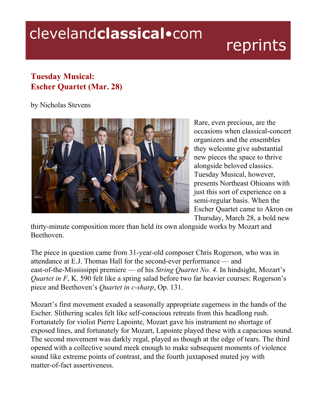## clevelandclassical.com

## reprints

## **Tuesday Musical: Escher Quartet (Mar. 28)**

by Nicholas Stevens



Rare, even precious, are the occasions when classical-concert organizers and the ensembles they welcome give substantial new pieces the space to thrive alongside beloved classics. Tuesday Musical, however, presents Northeast Ohioans with just this sort of experience on a semi-regular basis. When the Escher Quartet came to Akron on Thursday, March 28, a bold new

thirty-minute composition more than held its own alongside works by Mozart and Beethoven.

The piece in question came from 31-year-old composer Chris Rogerson, who was in attendance at E.J. Thomas Hall for the second-ever performance — and east-of-the-Mississippi premiere — of his *String Quartet No. 4*. In hindsight, Mozart's *Quartet in F*, K. 590 felt like a spring salad before two far heavier courses: Rogerson's piece and Beethoven's *Quartet in c-sharp*, Op. 131.

Mozart's first movement exuded a seasonally appropriate eagerness in the hands of the Escher. Slithering scales felt like self-conscious retreats from this headlong rush. Fortunately for violist Pierre Lapointe, Mozart gave his instrument no shortage of exposed lines, and fortunately for Mozart, Lapointe played these with a capacious sound. The second movement was darkly regal, played as though at the edge of tears. The third opened with a collective sound meek enough to make subsequent moments of violence sound like extreme points of contrast, and the fourth juxtaposed muted joy with matter-of-fact assertiveness.